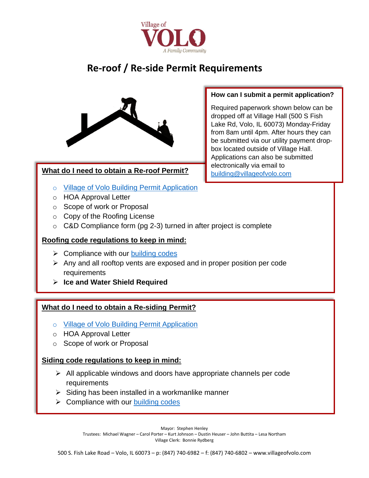

# **Re-roof / Re-side Permit Requirements**



# **What do I need to obtain a Re-roof Permit?**

- o [Village of Volo Building Permit Application](http://www.villageofvolo.com/DocumentCenter/View/970/Village-of-Volo-Building-Permit-Application-PDF)
- o HOA Approval Letter
- o Scope of work or Proposal
- o Copy of the Roofing License
- $\circ$  C&D Compliance form (pg 2-3) turned in after project is complete

# **Roofing code regulations to keep in mind:**

- $\triangleright$  Compliance with our [building codes](http://www.villageofvolo.com/DocumentCenter/View/231/Adopted-Building-Codes)
- ➢ Any and all rooftop vents are exposed and in proper position per code requirements
- ➢ **Ice and Water Shield Required**

# **What do I need to obtain a Re-siding Permit?**

- o [Village of Volo Building Permit Application](http://www.villageofvolo.com/DocumentCenter/View/970/Village-of-Volo-Building-Permit-Application-PDF)
- o HOA Approval Letter
- o Scope of work or Proposal

# **Siding code regulations to keep in mind:**

- $\triangleright$  All applicable windows and doors have appropriate channels per code requirements
- $\triangleright$  Siding has been installed in a workmanlike manner
- $\triangleright$  Compliance with our [building codes](http://www.villageofvolo.com/DocumentCenter/View/231/Adopted-Building-Codes)

Mayor: Stephen Henley

Trustees: Michael Wagner – Carol Porter – Kurt Johnson – Dustin Heuser – John Buttita – Lesa Northam Village Clerk: Bonnie Rydberg

# **How can I submit a permit application?**

Required paperwork shown below can be dropped off at Village Hall (500 S Fish Lake Rd, Volo, IL 60073) Monday-Friday from 8am until 4pm. After hours they can be submitted via our utility payment dropbox located outside of Village Hall. Applications can also be submitted electronically via email to [building@villageofvolo.com](mailto:building@villageofvolo.com)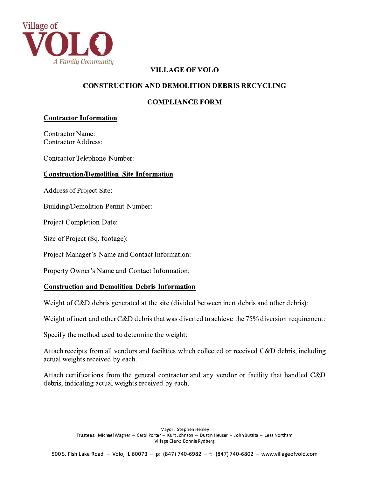

# **VILLAGE OF VOLO**

#### **CONSTRUCTION AND DEMOLITION DEBRIS RECYCLING**

#### **COMPLIANCE FORM**

#### **Contractor Information**

**Contractor Name: Contractor Address:** 

**Contractor Telephone Number:** 

#### **Construction/Demolition Site Information**

**Address of Project Site:** 

Building/Demolition Permit Number:

Project Completion Date:

Size of Project (Sq. footage):

Project Manager's Name and Contact Information:

Property Owner's Name and Contact Information:

#### **Construction and Demolition Debris Information**

Weight of C&D debris generated at the site (divided between inert debris and other debris):

Weight of inert and other C&D debris that was diverted to achieve the 75% diversion requirement:

Specify the method used to determine the weight:

Attach receipts from all vendors and facilities which collected or received C&D debris, including actual weights received by each.

Attach certifications from the general contractor and any vendor or facility that handled C&D debris, indicating actual weights received by each.

> Mayor: Stephen Henley Trustees: Michael Wagner - Carol Porter - Kurt Johnson - Dustin Heuser - John Buttita - Lesa Northam Village Clerk: Bonnie Rydberg